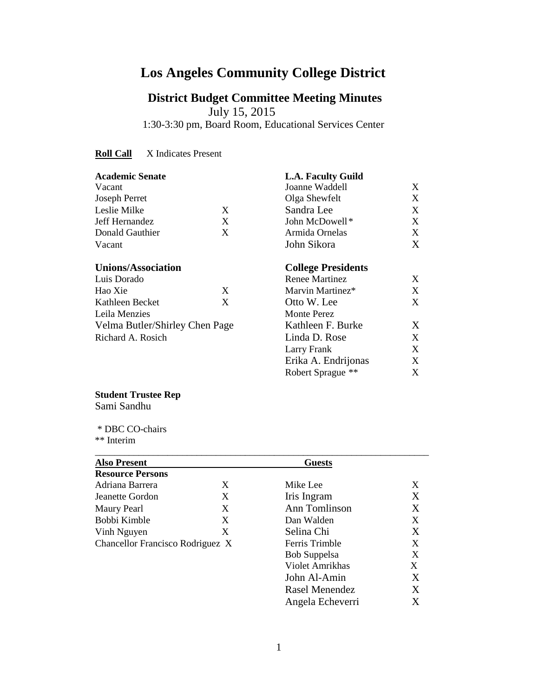# **Los Angeles Community College District**

# **District Budget Committee Meeting Minutes**

July 15, 2015

1:30-3:30 pm, Board Room, Educational Services Center

**Roll Call** X Indicates Present

| <b>Academic Senate</b>         |   | <b>L.A. Faculty Guild</b> |   |
|--------------------------------|---|---------------------------|---|
| Vacant                         |   | Joanne Waddell            | X |
| Joseph Perret                  |   | Olga Shewfelt             | X |
| Leslie Milke                   | X | Sandra Lee                | X |
| Jeff Hernandez                 | X | John McDowell*            | X |
| Donald Gauthier                | X | Armida Ornelas            | X |
| Vacant                         |   | John Sikora               | X |
| <b>Unions/Association</b>      |   | <b>College Presidents</b> |   |
| Luis Dorado                    |   | Renee Martinez            | X |
| Hao Xie                        | X | Marvin Martinez*          | X |
| Kathleen Becket                | X | Otto W. Lee               | X |
| Leila Menzies                  |   | Monte Perez               |   |
| Velma Butler/Shirley Chen Page |   | Kathleen F. Burke         | X |
| Richard A. Rosich              |   | Linda D. Rose             | X |
|                                |   | Larry Frank               | X |
|                                |   | Erika A. Endrijonas       | X |
|                                |   | Robert Sprague **         | X |

# **Student Trustee Rep**

Sami Sandhu

 \* DBC CO-chairs \*\* Interim

| <b>Also Present</b>              |   | <b>Guests</b>    |                   |
|----------------------------------|---|------------------|-------------------|
| <b>Resource Persons</b>          |   |                  |                   |
| Adriana Barrera                  | X | Mike Lee         | X                 |
| Jeanette Gordon                  | X | Iris Ingram      | X                 |
| <b>Maury Pearl</b>               | X | Ann Tomlinson    | X                 |
| Bobbi Kimble                     | X | Dan Walden       | X                 |
| Vinh Nguyen                      | X | Selina Chi       | X                 |
| Chancellor Francisco Rodriguez X |   | Ferris Trimble   | X                 |
|                                  |   | Bob Suppelsa     | X                 |
|                                  |   | Violet Amrikhas  | X                 |
|                                  |   | John Al-Amin     | X                 |
|                                  |   | Rasel Menendez   | X                 |
|                                  |   | Angela Echeverri | $\rm\overline{X}$ |

\_\_\_\_\_\_\_\_\_\_\_\_\_\_\_\_\_\_\_\_\_\_\_\_\_\_\_\_\_\_\_\_\_\_\_\_\_\_\_\_\_\_\_\_\_\_\_\_\_\_\_\_\_\_\_\_\_\_\_\_\_\_\_\_\_\_\_\_\_

Angela Echeverri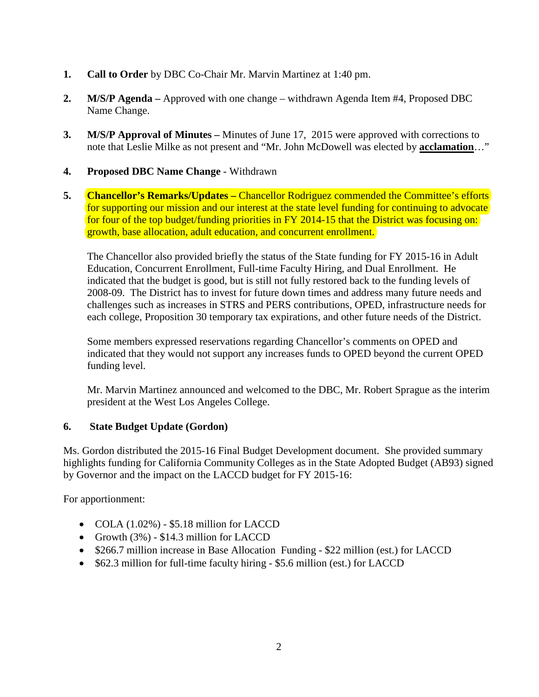- **1. Call to Order** by DBC Co-Chair Mr. Marvin Martinez at 1:40 pm.
- **2. M/S/P Agenda –** Approved with one change withdrawn Agenda Item #4, Proposed DBC Name Change.
- **3. M/S/P Approval of Minutes –** Minutes of June 17, 2015 were approved with corrections to note that Leslie Milke as not present and "Mr. John McDowell was elected by **acclamation**…"
- **4. Proposed DBC Name Change** Withdrawn
- **5. Chancellor's Remarks/Updates –** Chancellor Rodriguez commended the Committee's efforts for supporting our mission and our interest at the state level funding for continuing to advocate for four of the top budget/funding priorities in FY 2014-15 that the District was focusing on: growth, base allocation, adult education, and concurrent enrollment.

The Chancellor also provided briefly the status of the State funding for FY 2015-16 in Adult Education, Concurrent Enrollment, Full-time Faculty Hiring, and Dual Enrollment. He indicated that the budget is good, but is still not fully restored back to the funding levels of 2008-09. The District has to invest for future down times and address many future needs and challenges such as increases in STRS and PERS contributions, OPED, infrastructure needs for each college, Proposition 30 temporary tax expirations, and other future needs of the District.

Some members expressed reservations regarding Chancellor's comments on OPED and indicated that they would not support any increases funds to OPED beyond the current OPED funding level.

Mr. Marvin Martinez announced and welcomed to the DBC, Mr. Robert Sprague as the interim president at the West Los Angeles College.

## **6. State Budget Update (Gordon)**

Ms. Gordon distributed the 2015-16 Final Budget Development document. She provided summary highlights funding for California Community Colleges as in the State Adopted Budget (AB93) signed by Governor and the impact on the LACCD budget for FY 2015-16:

For apportionment:

- COLA  $(1.02\%)$  \$5.18 million for LACCD
- Growth (3%) \$14.3 million for LACCD
- \$266.7 million increase in Base Allocation Funding \$22 million (est.) for LACCD
- \$62.3 million for full-time faculty hiring \$5.6 million (est.) for LACCD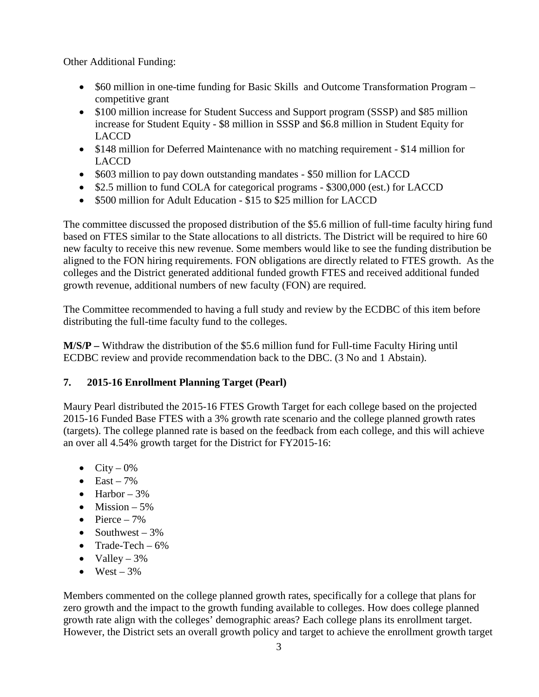Other Additional Funding:

- \$60 million in one-time funding for Basic Skills and Outcome Transformation Program competitive grant
- \$100 million increase for Student Success and Support program (SSSP) and \$85 million increase for Student Equity - \$8 million in SSSP and \$6.8 million in Student Equity for LACCD
- \$148 million for Deferred Maintenance with no matching requirement \$14 million for LACCD
- \$603 million to pay down outstanding mandates \$50 million for LACCD
- \$2.5 million to fund COLA for categorical programs \$300,000 (est.) for LACCD
- \$500 million for Adult Education \$15 to \$25 million for LACCD

The committee discussed the proposed distribution of the \$5.6 million of full-time faculty hiring fund based on FTES similar to the State allocations to all districts. The District will be required to hire 60 new faculty to receive this new revenue. Some members would like to see the funding distribution be aligned to the FON hiring requirements. FON obligations are directly related to FTES growth. As the colleges and the District generated additional funded growth FTES and received additional funded growth revenue, additional numbers of new faculty (FON) are required.

The Committee recommended to having a full study and review by the ECDBC of this item before distributing the full-time faculty fund to the colleges.

**M/S/P –** Withdraw the distribution of the \$5.6 million fund for Full-time Faculty Hiring until ECDBC review and provide recommendation back to the DBC. (3 No and 1 Abstain).

## **7. 2015-16 Enrollment Planning Target (Pearl)**

Maury Pearl distributed the 2015-16 FTES Growth Target for each college based on the projected 2015-16 Funded Base FTES with a 3% growth rate scenario and the college planned growth rates (targets). The college planned rate is based on the feedback from each college, and this will achieve an over all 4.54% growth target for the District for FY2015-16:

- City  $0\%$
- East  $-7\%$
- Harbor  $-3\%$
- Mission  $-5\%$
- Pierce  $-7\%$
- Southwest  $-3\%$
- Trade-Tech  $-6\%$
- Valley  $-3\%$
- West  $3\%$

Members commented on the college planned growth rates, specifically for a college that plans for zero growth and the impact to the growth funding available to colleges. How does college planned growth rate align with the colleges' demographic areas? Each college plans its enrollment target. However, the District sets an overall growth policy and target to achieve the enrollment growth target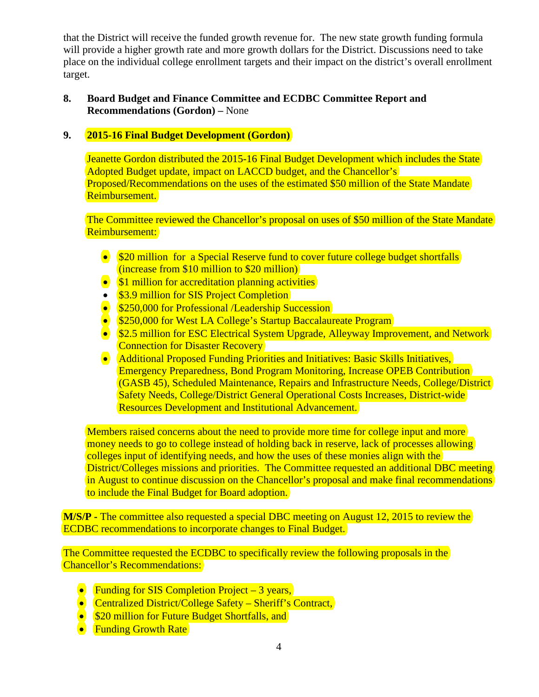that the District will receive the funded growth revenue for. The new state growth funding formula will provide a higher growth rate and more growth dollars for the District. Discussions need to take place on the individual college enrollment targets and their impact on the district's overall enrollment target.

#### **8. Board Budget and Finance Committee and ECDBC Committee Report and Recommendations (Gordon) –** None

## **9. 2015-16 Final Budget Development (Gordon)**

Jeanette Gordon distributed the 2015-16 Final Budget Development which includes the State Adopted Budget update, impact on LACCD budget, and the Chancellor's Proposed/Recommendations on the uses of the estimated \$50 million of the State Mandate Reimbursement.

The Committee reviewed the Chancellor's proposal on uses of \$50 million of the State Mandate Reimbursement:

- \$20 million for a Special Reserve fund to cover future college budget shortfalls (increase from \$10 million to \$20 million)
- \$1 million for accreditation planning activities
- \$3.9 million for SIS Project Completion
- \$250,000 for Professional /Leadership Succession
- \$250,000 for West LA College's Startup Baccalaureate Program
- \$2.5 million for ESC Electrical System Upgrade, Alleyway Improvement, and Network **Connection for Disaster Recovery**
- Additional Proposed Funding Priorities and Initiatives: Basic Skills Initiatives, Emergency Preparedness, Bond Program Monitoring, Increase OPEB Contribution (GASB 45), Scheduled Maintenance, Repairs and Infrastructure Needs, College/District Safety Needs, College/District General Operational Costs Increases, District-wide Resources Development and Institutional Advancement.

Members raised concerns about the need to provide more time for college input and more money needs to go to college instead of holding back in reserve, lack of processes allowing colleges input of identifying needs, and how the uses of these monies align with the District/Colleges missions and priorities. The Committee requested an additional DBC meeting in August to continue discussion on the Chancellor's proposal and make final recommendations to include the Final Budget for Board adoption.

**M/S/P -** The committee also requested a special DBC meeting on August 12, 2015 to review the ECDBC recommendations to incorporate changes to Final Budget.

The Committee requested the ECDBC to specifically review the following proposals in the Chancellor's Recommendations:

- Funding for SIS Completion Project 3 years,
- Centralized District/College Safety Sheriff's Contract,
- \$20 million for Future Budget Shortfalls, and
- Funding Growth Rate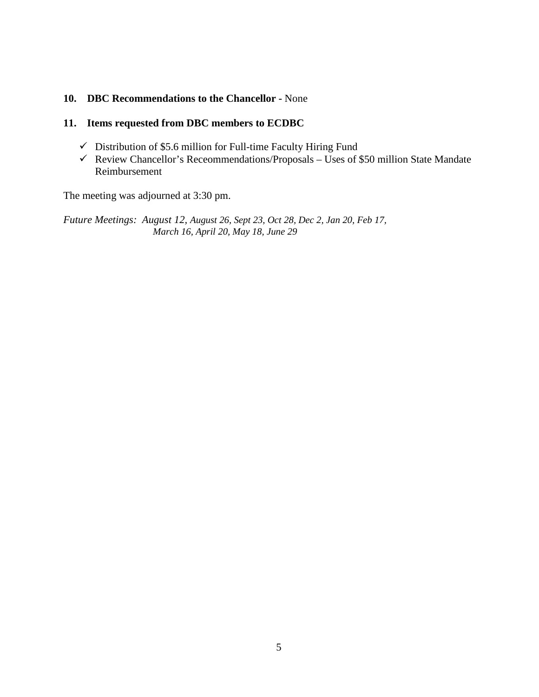#### **10. DBC Recommendations to the Chancellor -** None

#### **11. Items requested from DBC members to ECDBC**

- $\checkmark$  Distribution of \$5.6 million for Full-time Faculty Hiring Fund
- Review Chancellor's Receommendations/Proposals Uses of \$50 million State Mandate Reimbursement

The meeting was adjourned at 3:30 pm.

*Future Meetings: August 12, August 26, Sept 23, Oct 28, Dec 2, Jan 20, Feb 17, March 16, April 20, May 18, June 29*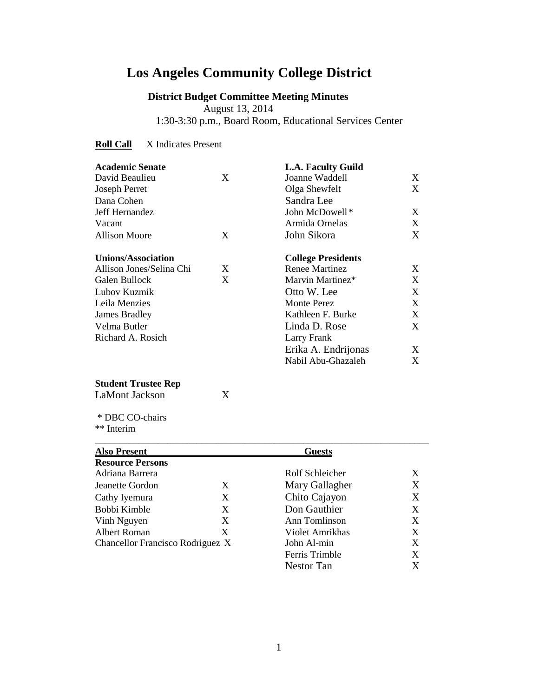# **Los Angeles Community College District**

# **District Budget Committee Meeting Minutes**

 August 13, 2014 1:30-3:30 p.m., Board Room, Educational Services Center

#### **Roll Call** X Indicates Present

| <b>Academic Senate</b>    |   | <b>L.A. Faculty Guild</b> |   |
|---------------------------|---|---------------------------|---|
| David Beaulieu            | X | Joanne Waddell            | X |
| <b>Joseph Perret</b>      |   | Olga Shewfelt             | X |
| Dana Cohen                |   | Sandra Lee                |   |
| Jeff Hernandez            |   | John McDowell*            | X |
| Vacant                    |   | Armida Ornelas            | X |
| <b>Allison Moore</b>      | X | John Sikora               | X |
| <b>Unions/Association</b> |   | <b>College Presidents</b> |   |
| Allison Jones/Selina Chi  | X | <b>Renee Martinez</b>     | X |
| Galen Bullock             | X | Marvin Martinez*          | X |
| Lubov Kuzmik              |   | Otto W. Lee               | X |
| Leila Menzies             |   | <b>Monte Perez</b>        | X |
| James Bradley             |   | Kathleen F. Burke         | X |
| Velma Butler              |   | Linda D. Rose             | X |
| Richard A. Rosich         |   | Larry Frank               |   |
|                           |   | Erika A. Endrijonas       | X |
|                           |   | Nabil Abu-Ghazaleh        | X |
|                           |   |                           |   |

# **Student Trustee Rep**<br>LaMont Jackson X

LaMont Jackson

 \* DBC CO-chairs \*\* Interim

| <b>Also Present</b>              |   | <b>Guests</b>   |   |
|----------------------------------|---|-----------------|---|
| <b>Resource Persons</b>          |   |                 |   |
| Adriana Barrera                  |   | Rolf Schleicher | X |
| Jeanette Gordon                  | X | Mary Gallagher  | X |
| Cathy Iyemura                    | X | Chito Cajayon   | Χ |
| Bobbi Kimble                     | X | Don Gauthier    | X |
| Vinh Nguyen                      | X | Ann Tomlinson   | X |
| <b>Albert Roman</b>              | X | Violet Amrikhas | X |
| Chancellor Francisco Rodriguez X |   | John Al-min     | X |
|                                  |   | Ferris Trimble  | X |
|                                  |   | Nestor Tan      |   |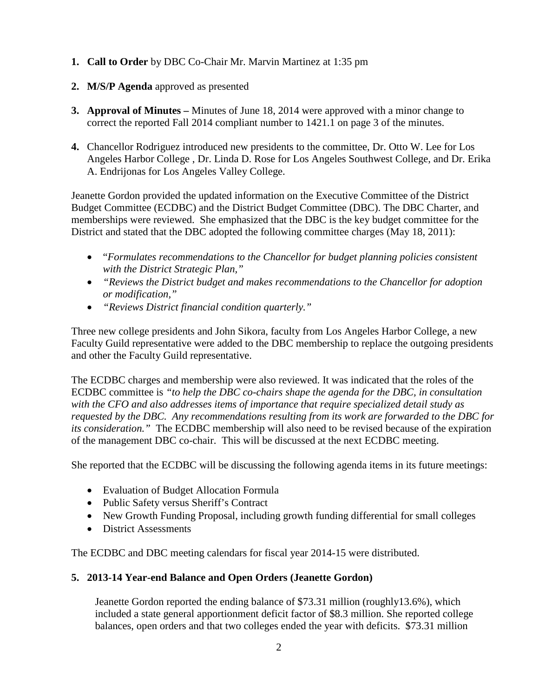- **1. Call to Order** by DBC Co-Chair Mr. Marvin Martinez at 1:35 pm
- **2. M/S/P Agenda** approved as presented
- **3. Approval of Minutes –** Minutes of June 18, 2014 were approved with a minor change to correct the reported Fall 2014 compliant number to 1421.1 on page 3 of the minutes.
- **4.** Chancellor Rodriguez introduced new presidents to the committee, Dr. Otto W. Lee for Los Angeles Harbor College , Dr. Linda D. Rose for Los Angeles Southwest College, and Dr. Erika A. Endrijonas for Los Angeles Valley College.

Jeanette Gordon provided the updated information on the Executive Committee of the District Budget Committee (ECDBC) and the District Budget Committee (DBC). The DBC Charter, and memberships were reviewed. She emphasized that the DBC is the key budget committee for the District and stated that the DBC adopted the following committee charges (May 18, 2011):

- "*Formulates recommendations to the Chancellor for budget planning policies consistent with the District Strategic Plan,"*
- *"Reviews the District budget and makes recommendations to the Chancellor for adoption or modification,"*
- *"Reviews District financial condition quarterly."*

Three new college presidents and John Sikora, faculty from Los Angeles Harbor College, a new Faculty Guild representative were added to the DBC membership to replace the outgoing presidents and other the Faculty Guild representative.

The ECDBC charges and membership were also reviewed. It was indicated that the roles of the ECDBC committee is *"to help the DBC co-chairs shape the agenda for the DBC, in consultation with the CFO and also addresses items of importance that require specialized detail study as requested by the DBC. Any recommendations resulting from its work are forwarded to the DBC for its consideration."* The ECDBC membership will also need to be revised because of the expiration of the management DBC co-chair. This will be discussed at the next ECDBC meeting.

She reported that the ECDBC will be discussing the following agenda items in its future meetings:

- Evaluation of Budget Allocation Formula
- Public Safety versus Sheriff's Contract
- New Growth Funding Proposal, including growth funding differential for small colleges
- District Assessments

The ECDBC and DBC meeting calendars for fiscal year 2014-15 were distributed.

# **5. 2013-14 Year-end Balance and Open Orders (Jeanette Gordon)**

Jeanette Gordon reported the ending balance of \$73.31 million (roughly13.6%), which included a state general apportionment deficit factor of \$8.3 million. She reported college balances, open orders and that two colleges ended the year with deficits. \$73.31 million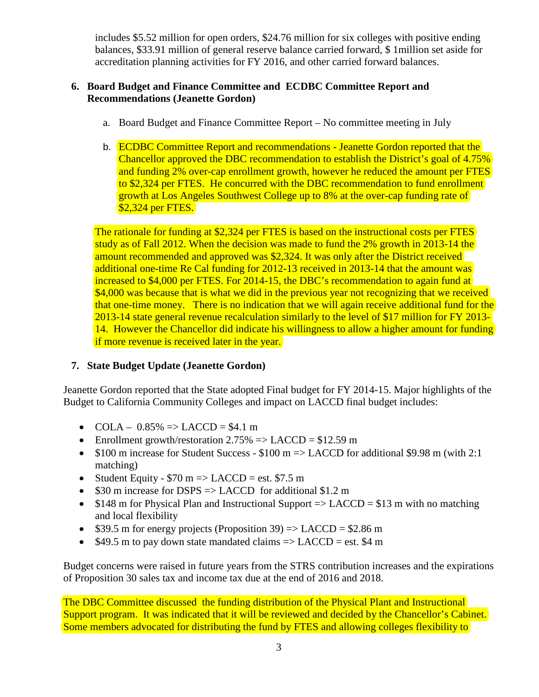includes \$5.52 million for open orders, \$24.76 million for six colleges with positive ending balances, \$33.91 million of general reserve balance carried forward, \$ 1million set aside for accreditation planning activities for FY 2016, and other carried forward balances.

## **6. Board Budget and Finance Committee and ECDBC Committee Report and Recommendations (Jeanette Gordon)**

- a. Board Budget and Finance Committee Report No committee meeting in July
- b. ECDBC Committee Report and recommendations Jeanette Gordon reported that the Chancellor approved the DBC recommendation to establish the District's goal of 4.75% and funding 2% over-cap enrollment growth, however he reduced the amount per FTES to \$2,324 per FTES. He concurred with the DBC recommendation to fund enrollment growth at Los Angeles Southwest College up to 8% at the over-cap funding rate of \$2,324 per FTES.

The rationale for funding at \$2,324 per FTES is based on the instructional costs per FTES study as of Fall 2012. When the decision was made to fund the 2% growth in 2013-14 the amount recommended and approved was \$2,324. It was only after the District received additional one-time Re Cal funding for 2012-13 received in 2013-14 that the amount was increased to \$4,000 per FTES. For 2014-15, the DBC's recommendation to again fund at \$4,000 was because that is what we did in the previous year not recognizing that we received that one-time money. There is no indication that we will again receive additional fund for the 2013-14 state general revenue recalculation similarly to the level of \$17 million for FY 2013- 14. However the Chancellor did indicate his willingness to allow a higher amount for funding if more revenue is received later in the year.

# **7. State Budget Update (Jeanette Gordon)**

Jeanette Gordon reported that the State adopted Final budget for FY 2014-15. Major highlights of the Budget to California Community Colleges and impact on LACCD final budget includes:

- COLA  $0.85\%$  => LACCD = \$4.1 m
- Enrollment growth/restoration  $2.75\% \Rightarrow$  LACCD = \$12.59 m
- \$100 m increase for Student Success  $100 \text{ m} \Rightarrow$  LACCD for additional \$9.98 m (with 2:1) matching)
- Student Equity  $$70 \text{ m}$  => LACCD = est. \$7.5 m
- \$30 m increase for DSPS => LACCD for additional \$1.2 m
- $$148$  m for Physical Plan and Instructional Support  $\Rightarrow$  LACCD = \$13 m with no matching and local flexibility
- \$39.5 m for energy projects (Proposition 39)  $\Rightarrow$  LACCD = \$2.86 m
- $$49.5 \text{ m}$  to pay down state mandated claims  $\Rightarrow$  LACCD = est. \$4 m

Budget concerns were raised in future years from the STRS contribution increases and the expirations of Proposition 30 sales tax and income tax due at the end of 2016 and 2018.

The DBC Committee discussed the funding distribution of the Physical Plant and Instructional Support program. It was indicated that it will be reviewed and decided by the Chancellor's Cabinet. Some members advocated for distributing the fund by FTES and allowing colleges flexibility to